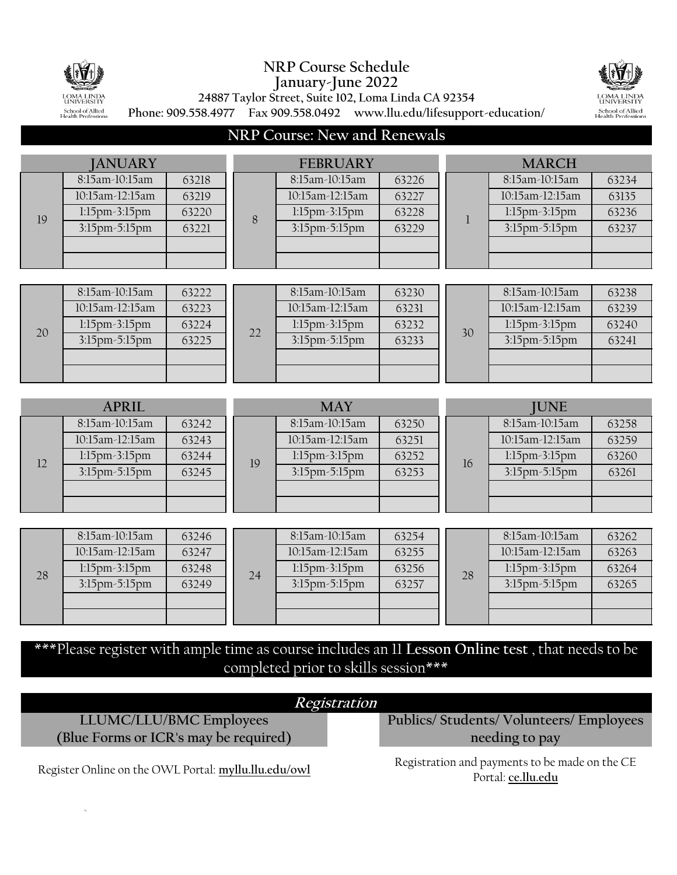

 $\bar{N}$ 

## **NRP Course Schedule January-June 2022**



**24887 Taylor Street, Suite 102, Loma Linda CA 92354**

**Phone: 909.558.4977 Fax 909.558.0492 www.llu.edu/lifesupport-education/**

## **NRP Course: New and Renewals**

| <b>JANUARY</b> |                          | <b>FEBRUARY</b> |                 |                 | <b>MARCH</b> |                 |                 |       |
|----------------|--------------------------|-----------------|-----------------|-----------------|--------------|-----------------|-----------------|-------|
|                | 8:15am-10:15am           | 63218           |                 | 8:15am-10:15am  | 63226        |                 | 8:15am-10:15am  | 63234 |
|                | 10:15am-12:15am          | 63219           |                 | 10:15am-12:15am | 63227        |                 | 10:15am-12:15am | 63135 |
| 19             | 1:15pm-3:15pm            | 63220           | 8               | 1:15pm-3:15pm   | 63228        | $\mathbf{1}$    | 1:15pm-3:15pm   | 63236 |
|                | 3:15pm-5:15pm            | 63221           |                 | 3:15pm-5:15pm   | 63229        |                 | 3:15pm-5:15pm   | 63237 |
|                |                          |                 |                 |                 |              |                 |                 |       |
|                |                          |                 |                 |                 |              |                 |                 |       |
|                |                          |                 |                 |                 |              |                 |                 |       |
|                | 8:15am-10:15am           | 63222           |                 | 8:15am-10:15am  | 63230        |                 | 8:15am-10:15am  | 63238 |
|                | 10:15am-12:15am<br>63223 |                 | 10:15am-12:15am | 63231           |              | 10:15am-12:15am | 63239           |       |
| 20             | 1:15pm-3:15pm            | 63224           | 22              | 1:15pm-3:15pm   | 63232        | 30              | 1:15pm-3:15pm   | 63240 |
|                | 3:15pm-5:15pm            | 63225           |                 | 3:15pm-5:15pm   | 63233        |                 | 3:15pm-5:15pm   | 63241 |
|                |                          |                 |                 |                 |              |                 |                 |       |
|                |                          |                 |                 |                 |              |                 |                 |       |
|                |                          |                 |                 |                 |              |                 |                 |       |
|                |                          |                 |                 |                 |              |                 |                 |       |
|                | <b>APRIL</b>             |                 |                 | <b>MAY</b>      |              |                 | <b>JUNE</b>     |       |
|                | 8:15am-10:15am           | 63242           |                 | 8:15am-10:15am  | 63250        |                 | 8:15am-10:15am  | 63258 |
|                | 10:15am-12:15am          | 63243           |                 | 10:15am-12:15am | 63251        |                 | 10:15am-12:15am | 63259 |
|                | 1:15pm-3:15pm            | 63244           |                 | 1:15pm-3:15pm   | 63252        |                 | 1:15pm-3:15pm   | 63260 |
| 12             | 3:15pm-5:15pm            | 63245           | 19              | 3:15pm-5:15pm   | 63253        | 16              | 3:15pm-5:15pm   | 63261 |
|                |                          |                 |                 |                 |              |                 |                 |       |
|                |                          |                 |                 |                 |              |                 |                 |       |
|                |                          |                 |                 |                 |              |                 |                 |       |
|                | 8:15am-10:15am           | 63246           |                 | 8:15am-10:15am  | 63254        |                 | 8:15am-10:15am  | 63262 |
|                | 10:15am-12:15am          | 63247           |                 | 10:15am-12:15am | 63255        |                 | 10:15am-12:15am | 63263 |
| 28             | 1:15pm-3:15pm            | 63248           |                 | 1:15pm-3:15pm   | 63256        | 28              | 1:15pm-3:15pm   | 63264 |
|                | 3:15pm-5:15pm            | 63249           | 24              | 3:15pm-5:15pm   | 63257        |                 | 3:15pm-5:15pm   | 63265 |
|                |                          |                 |                 |                 |              |                 |                 |       |

\*\*\*Please register with ample time as course includes an 11 **Lesson Online test** , that needs to be completed prior to skills session\*\*\*

| Registration                                         |                                                                      |  |  |  |  |  |  |
|------------------------------------------------------|----------------------------------------------------------------------|--|--|--|--|--|--|
| LLUMC/LLU/BMC Employees                              | Publics/Students/Volunteers/Employees                                |  |  |  |  |  |  |
| (Blue Forms or ICR's may be required)                | needing to pay                                                       |  |  |  |  |  |  |
| Register Online on the OWL Portal: myllu.llu.edu/owl | Registration and payments to be made on the CE<br>Portal: ce.llu.edu |  |  |  |  |  |  |